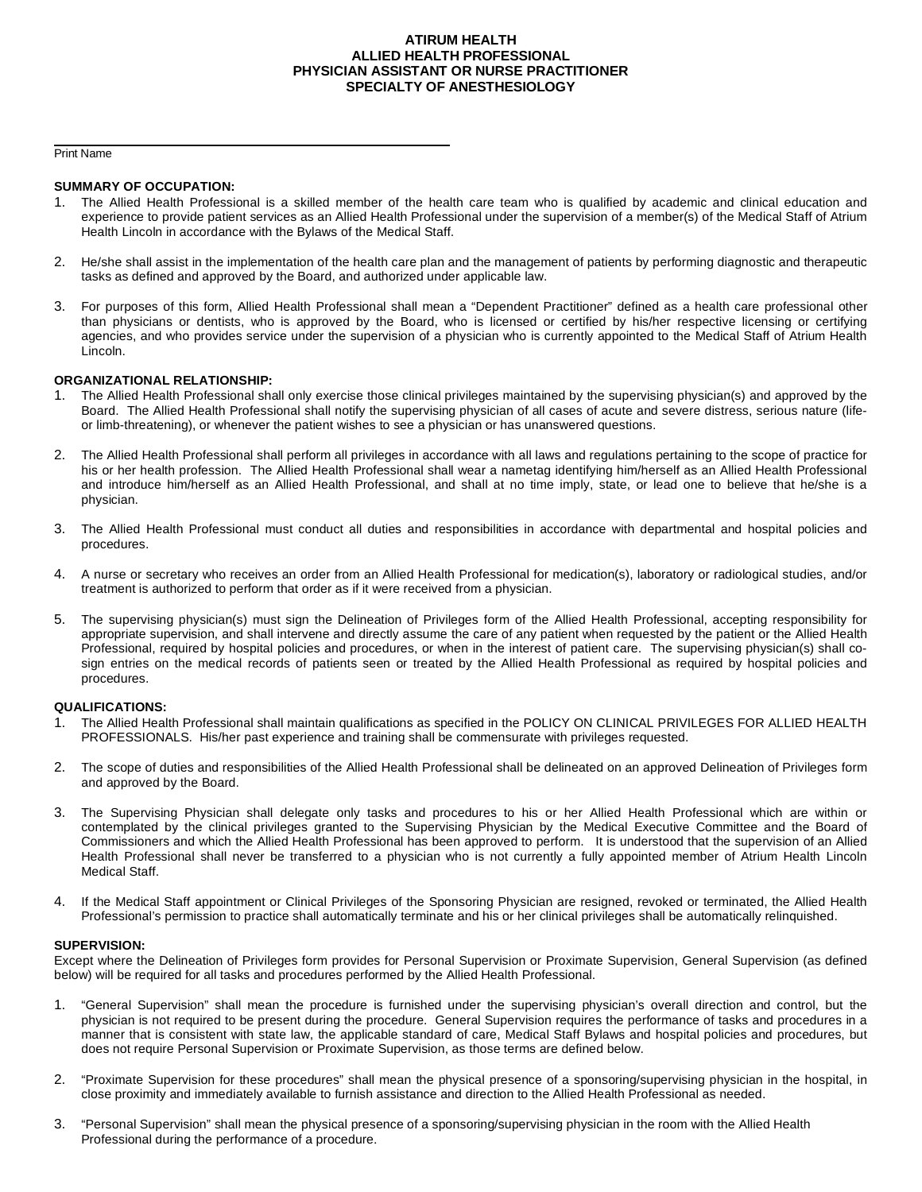### **ATIRUM HEALTH ALLIED HEALTH PROFESSIONAL PHYSICIAN ASSISTANT OR NURSE PRACTITIONER SPECIALTY OF ANESTHESIOLOGY**

Print Name

#### **SUMMARY OF OCCUPATION:**

- The Allied Health Professional is a skilled member of the health care team who is qualified by academic and clinical education and experience to provide patient services as an Allied Health Professional under the supervision of a member(s) of the Medical Staff of Atrium Health Lincoln in accordance with the Bylaws of the Medical Staff.
- 2. He/she shall assist in the implementation of the health care plan and the management of patients by performing diagnostic and therapeutic tasks as defined and approved by the Board, and authorized under applicable law.
- 3. For purposes of this form, Allied Health Professional shall mean a "Dependent Practitioner" defined as a health care professional other than physicians or dentists, who is approved by the Board, who is licensed or certified by his/her respective licensing or certifying agencies, and who provides service under the supervision of a physician who is currently appointed to the Medical Staff of Atrium Health Lincoln.

#### **ORGANIZATIONAL RELATIONSHIP:**

- 1. The Allied Health Professional shall only exercise those clinical privileges maintained by the supervising physician(s) and approved by the Board. The Allied Health Professional shall notify the supervising physician of all cases of acute and severe distress, serious nature (lifeor limb-threatening), or whenever the patient wishes to see a physician or has unanswered questions.
- 2. The Allied Health Professional shall perform all privileges in accordance with all laws and regulations pertaining to the scope of practice for his or her health profession. The Allied Health Professional shall wear a nametag identifying him/herself as an Allied Health Professional and introduce him/herself as an Allied Health Professional, and shall at no time imply, state, or lead one to believe that he/she is a physician.
- 3. The Allied Health Professional must conduct all duties and responsibilities in accordance with departmental and hospital policies and procedures.
- 4. A nurse or secretary who receives an order from an Allied Health Professional for medication(s), laboratory or radiological studies, and/or treatment is authorized to perform that order as if it were received from a physician.
- 5. The supervising physician(s) must sign the Delineation of Privileges form of the Allied Health Professional, accepting responsibility for appropriate supervision, and shall intervene and directly assume the care of any patient when requested by the patient or the Allied Health Professional, required by hospital policies and procedures, or when in the interest of patient care. The supervising physician(s) shall cosign entries on the medical records of patients seen or treated by the Allied Health Professional as required by hospital policies and procedures.

#### **QUALIFICATIONS:**

- 1. The Allied Health Professional shall maintain qualifications as specified in the POLICY ON CLINICAL PRIVILEGES FOR ALLIED HEALTH PROFESSIONALS. His/her past experience and training shall be commensurate with privileges requested.
- 2. The scope of duties and responsibilities of the Allied Health Professional shall be delineated on an approved Delineation of Privileges form and approved by the Board.
- 3. The Supervising Physician shall delegate only tasks and procedures to his or her Allied Health Professional which are within or contemplated by the clinical privileges granted to the Supervising Physician by the Medical Executive Committee and the Board of Commissioners and which the Allied Health Professional has been approved to perform. It is understood that the supervision of an Allied Health Professional shall never be transferred to a physician who is not currently a fully appointed member of Atrium Health Lincoln Medical Staff.
- 4. If the Medical Staff appointment or Clinical Privileges of the Sponsoring Physician are resigned, revoked or terminated, the Allied Health Professional's permission to practice shall automatically terminate and his or her clinical privileges shall be automatically relinquished.

#### **SUPERVISION:**

Except where the Delineation of Privileges form provides for Personal Supervision or Proximate Supervision, General Supervision (as defined below) will be required for all tasks and procedures performed by the Allied Health Professional.

- 1. "General Supervision" shall mean the procedure is furnished under the supervising physician's overall direction and control, but the physician is not required to be present during the procedure. General Supervision requires the performance of tasks and procedures in a manner that is consistent with state law, the applicable standard of care, Medical Staff Bylaws and hospital policies and procedures, but does not require Personal Supervision or Proximate Supervision, as those terms are defined below.
- 2. "Proximate Supervision for these procedures" shall mean the physical presence of a sponsoring/supervising physician in the hospital, in close proximity and immediately available to furnish assistance and direction to the Allied Health Professional as needed.
- 3. "Personal Supervision" shall mean the physical presence of a sponsoring/supervising physician in the room with the Allied Health Professional during the performance of a procedure.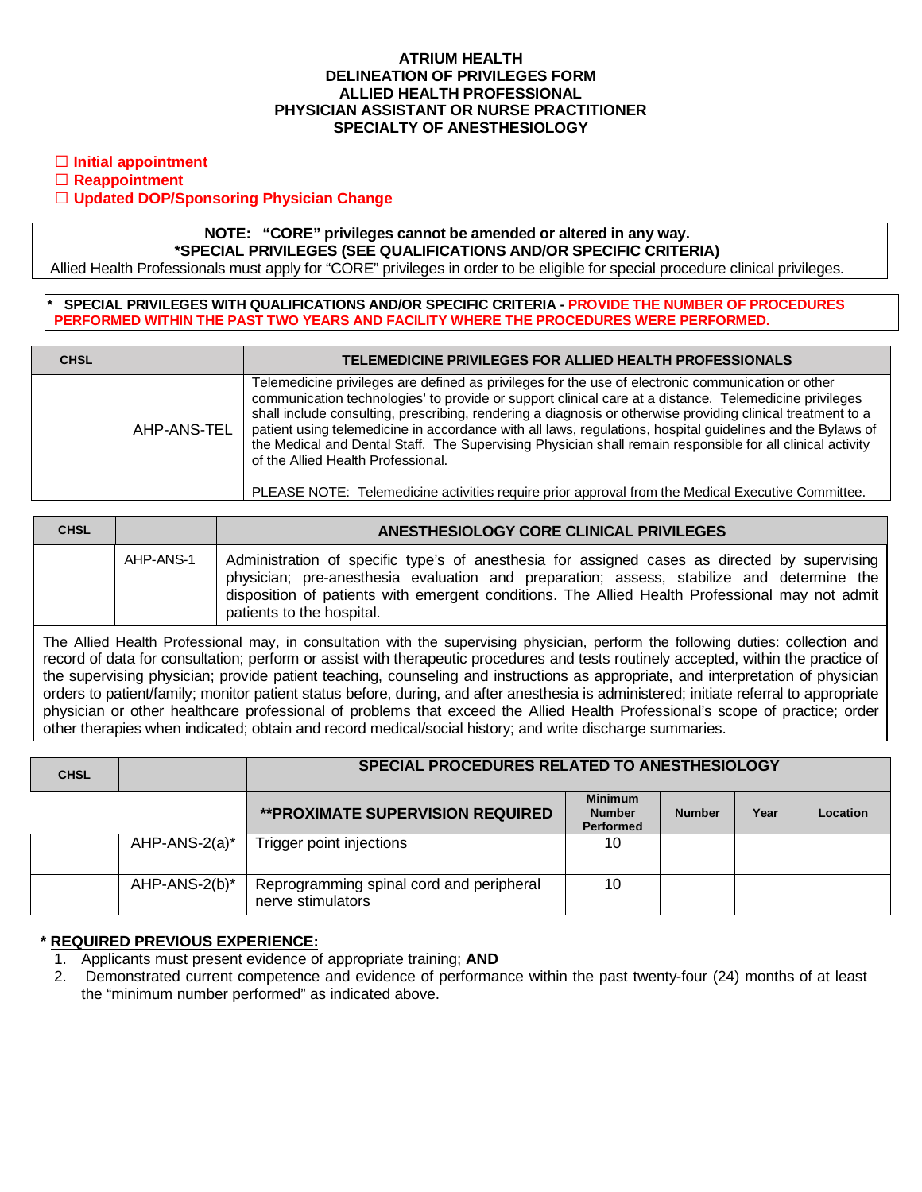### **ATRIUM HEALTH DELINEATION OF PRIVILEGES FORM ALLIED HEALTH PROFESSIONAL PHYSICIAN ASSISTANT OR NURSE PRACTITIONER SPECIALTY OF ANESTHESIOLOGY**

**Initial appointment**

**Reappointment**

# **Updated DOP/Sponsoring Physician Change**

# **NOTE: "CORE" privileges cannot be amended or altered in any way. \*SPECIAL PRIVILEGES (SEE QUALIFICATIONS AND/OR SPECIFIC CRITERIA)**

Allied Health Professionals must apply for "CORE" privileges in order to be eligible for special procedure clinical privileges.

### **\* SPECIAL PRIVILEGES WITH QUALIFICATIONS AND/OR SPECIFIC CRITERIA - PROVIDE THE NUMBER OF PROCEDURES PERFORMED WITHIN THE PAST TWO YEARS AND FACILITY WHERE THE PROCEDURES WERE PERFORMED.**

| <b>CHSL</b> |             | TELEMEDICINE PRIVILEGES FOR ALLIED HEALTH PROFESSIONALS                                                                                                                                                                                                                                                                                                                                                                                                                                                                                                                                                                                                                                            |
|-------------|-------------|----------------------------------------------------------------------------------------------------------------------------------------------------------------------------------------------------------------------------------------------------------------------------------------------------------------------------------------------------------------------------------------------------------------------------------------------------------------------------------------------------------------------------------------------------------------------------------------------------------------------------------------------------------------------------------------------------|
|             | AHP-ANS-TEL | Telemedicine privileges are defined as privileges for the use of electronic communication or other<br>communication technologies' to provide or support clinical care at a distance. Telemedicine privileges<br>shall include consulting, prescribing, rendering a diagnosis or otherwise providing clinical treatment to a<br>patient using telemedicine in accordance with all laws, regulations, hospital guidelines and the Bylaws of<br>the Medical and Dental Staff. The Supervising Physician shall remain responsible for all clinical activity<br>of the Allied Health Professional.<br>PLEASE NOTE: Telemedicine activities require prior approval from the Medical Executive Committee. |

| <b>CHSL</b> |           | ANESTHESIOLOGY CORE CLINICAL PRIVILEGES                                                                                                                                                                                                                                                                                   |  |  |  |  |
|-------------|-----------|---------------------------------------------------------------------------------------------------------------------------------------------------------------------------------------------------------------------------------------------------------------------------------------------------------------------------|--|--|--|--|
|             | AHP-ANS-1 | Administration of specific type's of anesthesia for assigned cases as directed by supervising<br>physician; pre-anesthesia evaluation and preparation; assess, stabilize and determine the<br>disposition of patients with emergent conditions. The Allied Health Professional may not admit<br>patients to the hospital. |  |  |  |  |

The Allied Health Professional may, in consultation with the supervising physician, perform the following duties: collection and record of data for consultation; perform or assist with therapeutic procedures and tests routinely accepted, within the practice of the supervising physician; provide patient teaching, counseling and instructions as appropriate, and interpretation of physician orders to patient/family; monitor patient status before, during, and after anesthesia is administered; initiate referral to appropriate physician or other healthcare professional of problems that exceed the Allied Health Professional's scope of practice; order other therapies when indicated; obtain and record medical/social history; and write discharge summaries.

| <b>CHSL</b> |               | SPECIAL PROCEDURES RELATED TO ANESTHESIOLOGY                  |                                              |               |      |          |  |
|-------------|---------------|---------------------------------------------------------------|----------------------------------------------|---------------|------|----------|--|
|             |               | <b>**PROXIMATE SUPERVISION REQUIRED</b>                       | <b>Minimum</b><br><b>Number</b><br>Performed | <b>Number</b> | Year | Location |  |
|             | AHP-ANS-2(a)* | Trigger point injections                                      | 10                                           |               |      |          |  |
|             | AHP-ANS-2(b)* | Reprogramming spinal cord and peripheral<br>nerve stimulators | 10                                           |               |      |          |  |

# **\* REQUIRED PREVIOUS EXPERIENCE:**

- 1. Applicants must present evidence of appropriate training; **AND**
- 2. Demonstrated current competence and evidence of performance within the past twenty-four (24) months of at least the "minimum number performed" as indicated above.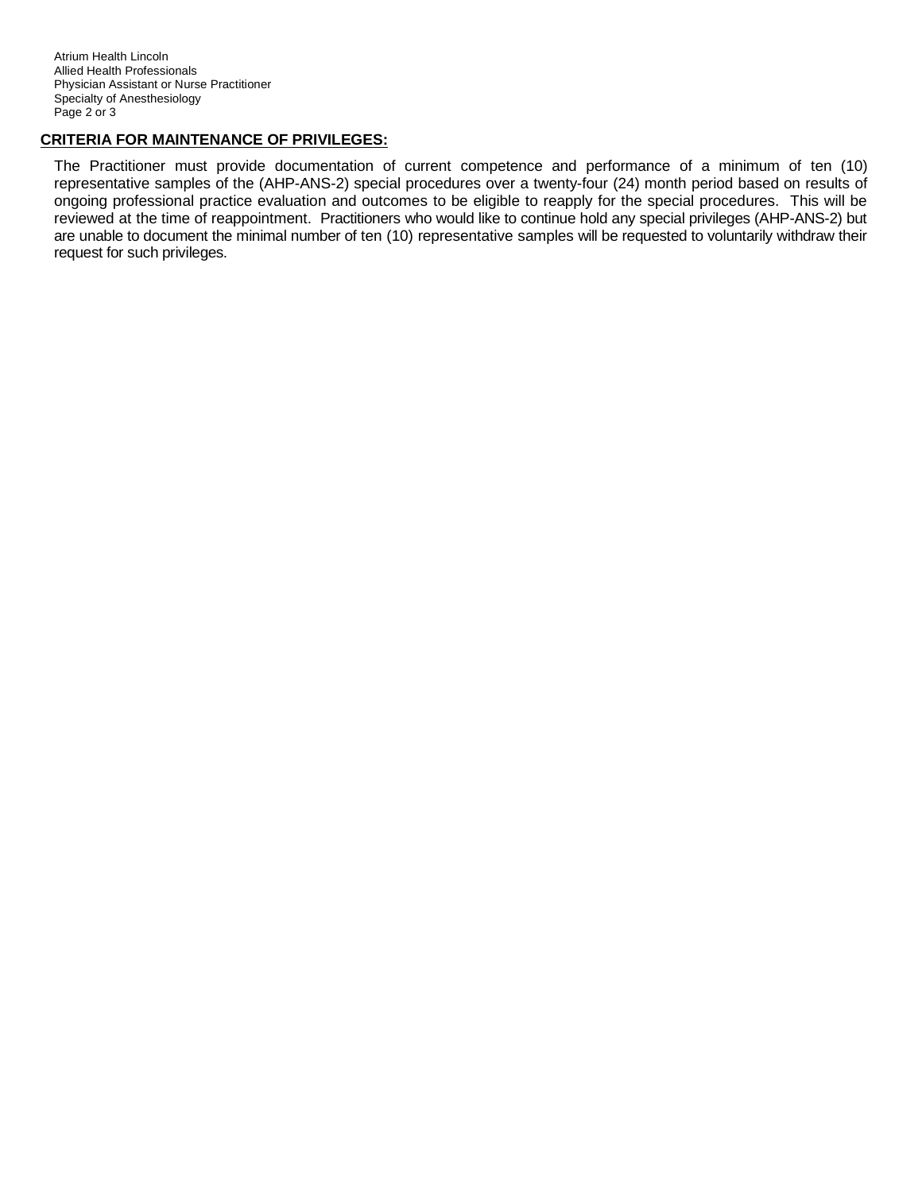# **CRITERIA FOR MAINTENANCE OF PRIVILEGES:**

The Practitioner must provide documentation of current competence and performance of a minimum of ten (10) representative samples of the (AHP-ANS-2) special procedures over a twenty-four (24) month period based on results of ongoing professional practice evaluation and outcomes to be eligible to reapply for the special procedures. This will be reviewed at the time of reappointment. Practitioners who would like to continue hold any special privileges (AHP-ANS-2) but are unable to document the minimal number of ten (10) representative samples will be requested to voluntarily withdraw their request for such privileges.